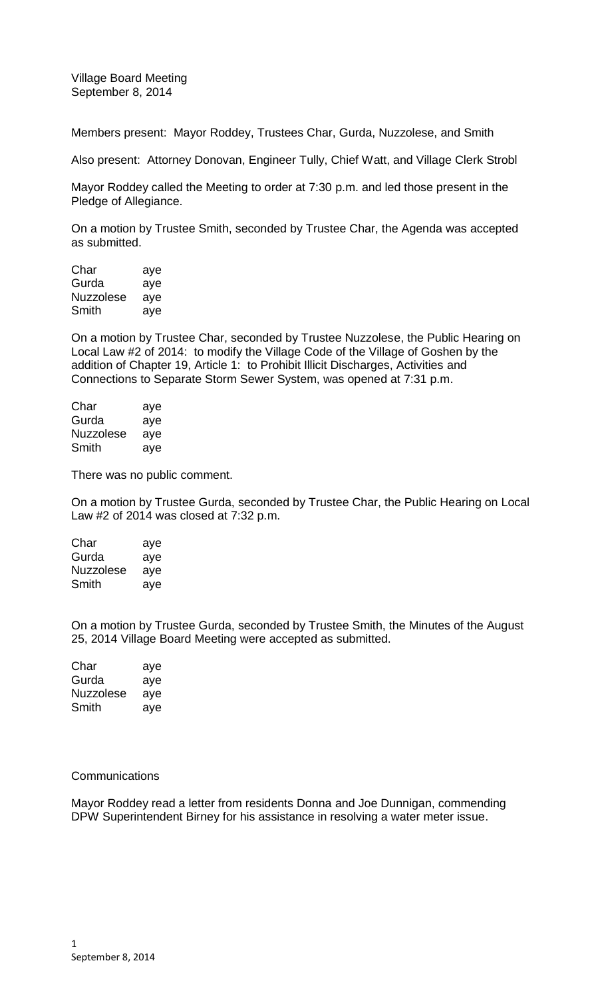Village Board Meeting September 8, 2014

Members present: Mayor Roddey, Trustees Char, Gurda, Nuzzolese, and Smith

Also present: Attorney Donovan, Engineer Tully, Chief Watt, and Village Clerk Strobl

Mayor Roddey called the Meeting to order at 7:30 p.m. and led those present in the Pledge of Allegiance.

On a motion by Trustee Smith, seconded by Trustee Char, the Agenda was accepted as submitted.

| Char      | aye |
|-----------|-----|
| Gurda     | aye |
| Nuzzolese | aye |
| Smith     | aye |

On a motion by Trustee Char, seconded by Trustee Nuzzolese, the Public Hearing on Local Law #2 of 2014: to modify the Village Code of the Village of Goshen by the addition of Chapter 19, Article 1: to Prohibit Illicit Discharges, Activities and Connections to Separate Storm Sewer System, was opened at 7:31 p.m.

| Char      | aye |
|-----------|-----|
| Gurda     | aye |
| Nuzzolese | aye |
| Smith     | aye |

There was no public comment.

On a motion by Trustee Gurda, seconded by Trustee Char, the Public Hearing on Local Law #2 of 2014 was closed at 7:32 p.m.

| Char      | aye |
|-----------|-----|
| Gurda     | aye |
| Nuzzolese | aye |
| Smith     | aye |

On a motion by Trustee Gurda, seconded by Trustee Smith, the Minutes of the August 25, 2014 Village Board Meeting were accepted as submitted.

| Char      | aye |
|-----------|-----|
| Gurda     | aye |
| Nuzzolese | aye |
| Smith     | aye |

## **Communications**

Mayor Roddey read a letter from residents Donna and Joe Dunnigan, commending DPW Superintendent Birney for his assistance in resolving a water meter issue.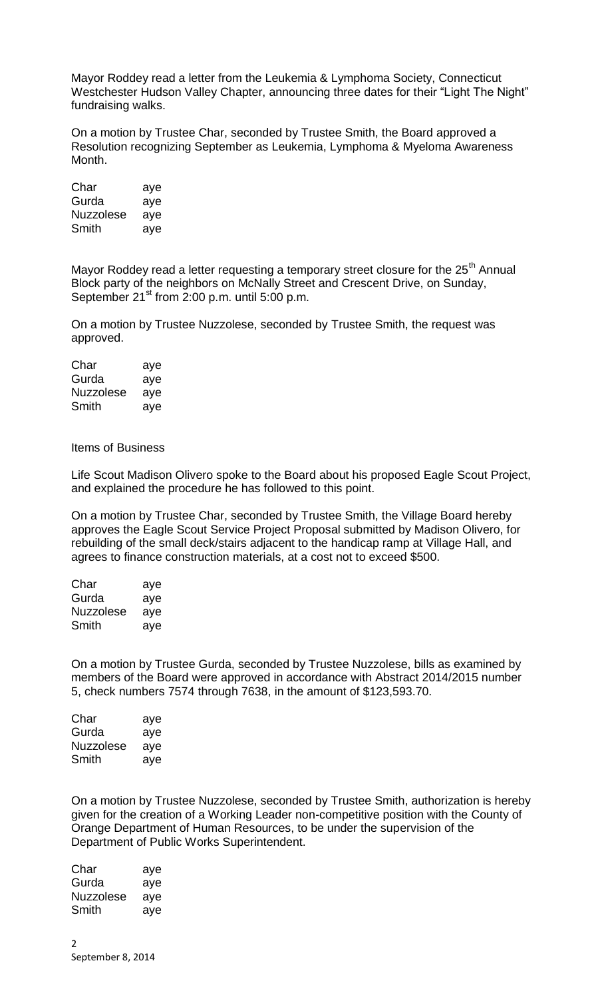Mayor Roddey read a letter from the Leukemia & Lymphoma Society, Connecticut Westchester Hudson Valley Chapter, announcing three dates for their "Light The Night" fundraising walks.

On a motion by Trustee Char, seconded by Trustee Smith, the Board approved a Resolution recognizing September as Leukemia, Lymphoma & Myeloma Awareness Month.

| Char             | aye |
|------------------|-----|
| Gurda            | aye |
| <b>Nuzzolese</b> | aye |
| Smith            | aye |

Mayor Roddey read a letter requesting a temporary street closure for the  $25<sup>th</sup>$  Annual Block party of the neighbors on McNally Street and Crescent Drive, on Sunday, September  $21^{st}$  from 2:00 p.m. until 5:00 p.m.

On a motion by Trustee Nuzzolese, seconded by Trustee Smith, the request was approved.

| Char      | aye |
|-----------|-----|
| Gurda     | aye |
| Nuzzolese | aye |
| Smith     | aye |

Items of Business

Life Scout Madison Olivero spoke to the Board about his proposed Eagle Scout Project, and explained the procedure he has followed to this point.

On a motion by Trustee Char, seconded by Trustee Smith, the Village Board hereby approves the Eagle Scout Service Project Proposal submitted by Madison Olivero, for rebuilding of the small deck/stairs adjacent to the handicap ramp at Village Hall, and agrees to finance construction materials, at a cost not to exceed \$500.

| Char             | aye |
|------------------|-----|
| Gurda            | aye |
| <b>Nuzzolese</b> | ave |
| Smith            | aye |

On a motion by Trustee Gurda, seconded by Trustee Nuzzolese, bills as examined by members of the Board were approved in accordance with Abstract 2014/2015 number 5, check numbers 7574 through 7638, in the amount of \$123,593.70.

| Char             | aye |
|------------------|-----|
| Gurda            | aye |
| <b>Nuzzolese</b> | aye |
| Smith            | aye |

On a motion by Trustee Nuzzolese, seconded by Trustee Smith, authorization is hereby given for the creation of a Working Leader non-competitive position with the County of Orange Department of Human Resources, to be under the supervision of the Department of Public Works Superintendent.

| Char      | aye |
|-----------|-----|
| Gurda     | aye |
| Nuzzolese | aye |
| Smith     | aye |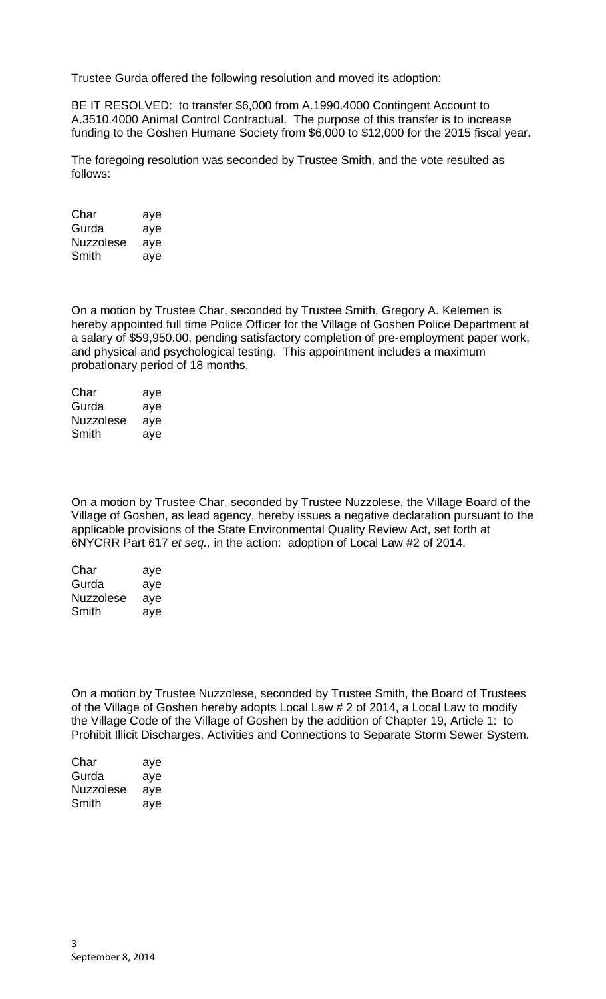Trustee Gurda offered the following resolution and moved its adoption:

BE IT RESOLVED: to transfer \$6,000 from A.1990.4000 Contingent Account to A.3510.4000 Animal Control Contractual. The purpose of this transfer is to increase funding to the Goshen Humane Society from \$6,000 to \$12,000 for the 2015 fiscal year.

The foregoing resolution was seconded by Trustee Smith, and the vote resulted as follows:

| Char             | aye |
|------------------|-----|
| Gurda            | aye |
| <b>Nuzzolese</b> | aye |
| Smith            | aye |

On a motion by Trustee Char, seconded by Trustee Smith, Gregory A. Kelemen is hereby appointed full time Police Officer for the Village of Goshen Police Department at a salary of \$59,950.00, pending satisfactory completion of pre-employment paper work, and physical and psychological testing. This appointment includes a maximum probationary period of 18 months.

| Char             | aye |
|------------------|-----|
| Gurda            | aye |
| <b>Nuzzolese</b> | aye |
| Smith            | aye |

On a motion by Trustee Char, seconded by Trustee Nuzzolese, the Village Board of the Village of Goshen, as lead agency, hereby issues a negative declaration pursuant to the applicable provisions of the State Environmental Quality Review Act, set forth at 6NYCRR Part 617 *et seq.,* in the action: adoption of Local Law #2 of 2014.

| Char             | aye |
|------------------|-----|
| Gurda            | aye |
| <b>Nuzzolese</b> | aye |
| Smith            | aye |

On a motion by Trustee Nuzzolese, seconded by Trustee Smith, the Board of Trustees of the Village of Goshen hereby adopts Local Law # 2 of 2014, a Local Law to modify the Village Code of the Village of Goshen by the addition of Chapter 19, Article 1: to Prohibit Illicit Discharges, Activities and Connections to Separate Storm Sewer System.

| Char      | aye |
|-----------|-----|
| Gurda     | aye |
| Nuzzolese | aye |
| Smith     | aye |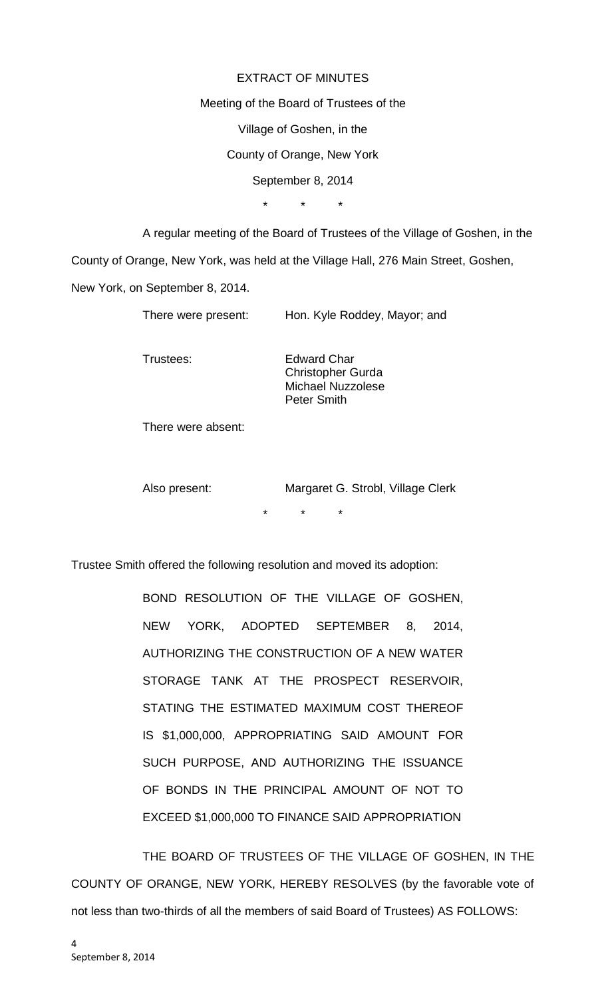## EXTRACT OF MINUTES

Meeting of the Board of Trustees of the

Village of Goshen, in the

County of Orange, New York

September 8, 2014

\* \* \*

A regular meeting of the Board of Trustees of the Village of Goshen, in the

County of Orange, New York, was held at the Village Hall, 276 Main Street, Goshen,

New York, on September 8, 2014.

| There were present: | Hon. Kyle Roddey, Mayor; and |
|---------------------|------------------------------|
|---------------------|------------------------------|

Trustees: Edward Char Christopher Gurda Michael Nuzzolese Peter Smith

There were absent:

Also present: Margaret G. Strobl, Village Clerk \* \* \*

Trustee Smith offered the following resolution and moved its adoption:

BOND RESOLUTION OF THE VILLAGE OF GOSHEN, NEW YORK, ADOPTED SEPTEMBER 8, 2014, AUTHORIZING THE CONSTRUCTION OF A NEW WATER STORAGE TANK AT THE PROSPECT RESERVOIR, STATING THE ESTIMATED MAXIMUM COST THEREOF IS \$1,000,000, APPROPRIATING SAID AMOUNT FOR SUCH PURPOSE, AND AUTHORIZING THE ISSUANCE OF BONDS IN THE PRINCIPAL AMOUNT OF NOT TO EXCEED \$1,000,000 TO FINANCE SAID APPROPRIATION

THE BOARD OF TRUSTEES OF THE VILLAGE OF GOSHEN, IN THE COUNTY OF ORANGE, NEW YORK, HEREBY RESOLVES (by the favorable vote of not less than two-thirds of all the members of said Board of Trustees) AS FOLLOWS: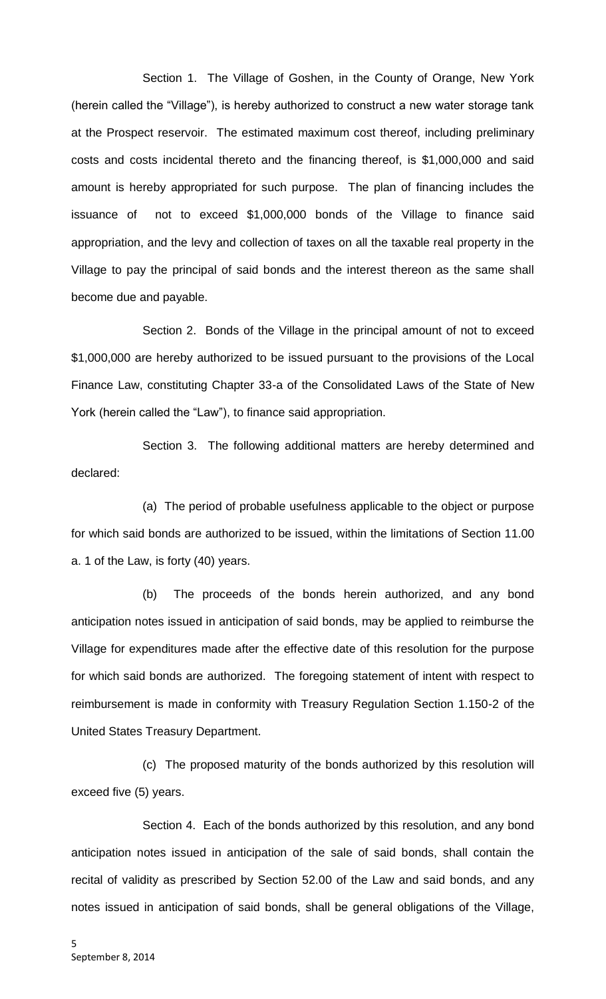Section 1. The Village of Goshen, in the County of Orange, New York (herein called the "Village"), is hereby authorized to construct a new water storage tank at the Prospect reservoir. The estimated maximum cost thereof, including preliminary costs and costs incidental thereto and the financing thereof, is \$1,000,000 and said amount is hereby appropriated for such purpose. The plan of financing includes the issuance of not to exceed \$1,000,000 bonds of the Village to finance said appropriation, and the levy and collection of taxes on all the taxable real property in the Village to pay the principal of said bonds and the interest thereon as the same shall become due and payable.

Section 2. Bonds of the Village in the principal amount of not to exceed \$1,000,000 are hereby authorized to be issued pursuant to the provisions of the Local Finance Law, constituting Chapter 33-a of the Consolidated Laws of the State of New York (herein called the "Law"), to finance said appropriation.

Section 3. The following additional matters are hereby determined and declared:

(a) The period of probable usefulness applicable to the object or purpose for which said bonds are authorized to be issued, within the limitations of Section 11.00 a. 1 of the Law, is forty (40) years.

(b) The proceeds of the bonds herein authorized, and any bond anticipation notes issued in anticipation of said bonds, may be applied to reimburse the Village for expenditures made after the effective date of this resolution for the purpose for which said bonds are authorized. The foregoing statement of intent with respect to reimbursement is made in conformity with Treasury Regulation Section 1.150-2 of the United States Treasury Department.

(c) The proposed maturity of the bonds authorized by this resolution will exceed five (5) years.

Section 4. Each of the bonds authorized by this resolution, and any bond anticipation notes issued in anticipation of the sale of said bonds, shall contain the recital of validity as prescribed by Section 52.00 of the Law and said bonds, and any notes issued in anticipation of said bonds, shall be general obligations of the Village,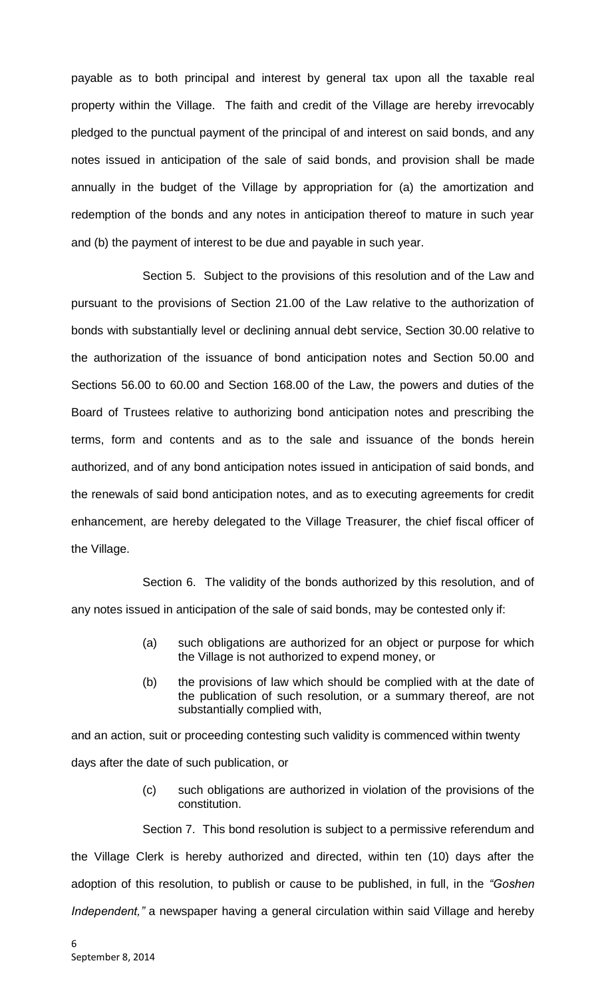payable as to both principal and interest by general tax upon all the taxable real property within the Village. The faith and credit of the Village are hereby irrevocably pledged to the punctual payment of the principal of and interest on said bonds, and any notes issued in anticipation of the sale of said bonds, and provision shall be made annually in the budget of the Village by appropriation for (a) the amortization and redemption of the bonds and any notes in anticipation thereof to mature in such year and (b) the payment of interest to be due and payable in such year.

Section 5. Subject to the provisions of this resolution and of the Law and pursuant to the provisions of Section 21.00 of the Law relative to the authorization of bonds with substantially level or declining annual debt service, Section 30.00 relative to the authorization of the issuance of bond anticipation notes and Section 50.00 and Sections 56.00 to 60.00 and Section 168.00 of the Law, the powers and duties of the Board of Trustees relative to authorizing bond anticipation notes and prescribing the terms, form and contents and as to the sale and issuance of the bonds herein authorized, and of any bond anticipation notes issued in anticipation of said bonds, and the renewals of said bond anticipation notes, and as to executing agreements for credit enhancement, are hereby delegated to the Village Treasurer, the chief fiscal officer of the Village.

Section 6. The validity of the bonds authorized by this resolution, and of any notes issued in anticipation of the sale of said bonds, may be contested only if:

- (a) such obligations are authorized for an object or purpose for which the Village is not authorized to expend money, or
- (b) the provisions of law which should be complied with at the date of the publication of such resolution, or a summary thereof, are not substantially complied with,

and an action, suit or proceeding contesting such validity is commenced within twenty days after the date of such publication, or

> (c) such obligations are authorized in violation of the provisions of the constitution.

Section 7. This bond resolution is subject to a permissive referendum and the Village Clerk is hereby authorized and directed, within ten (10) days after the adoption of this resolution, to publish or cause to be published, in full, in the *"Goshen Independent,"* a newspaper having a general circulation within said Village and hereby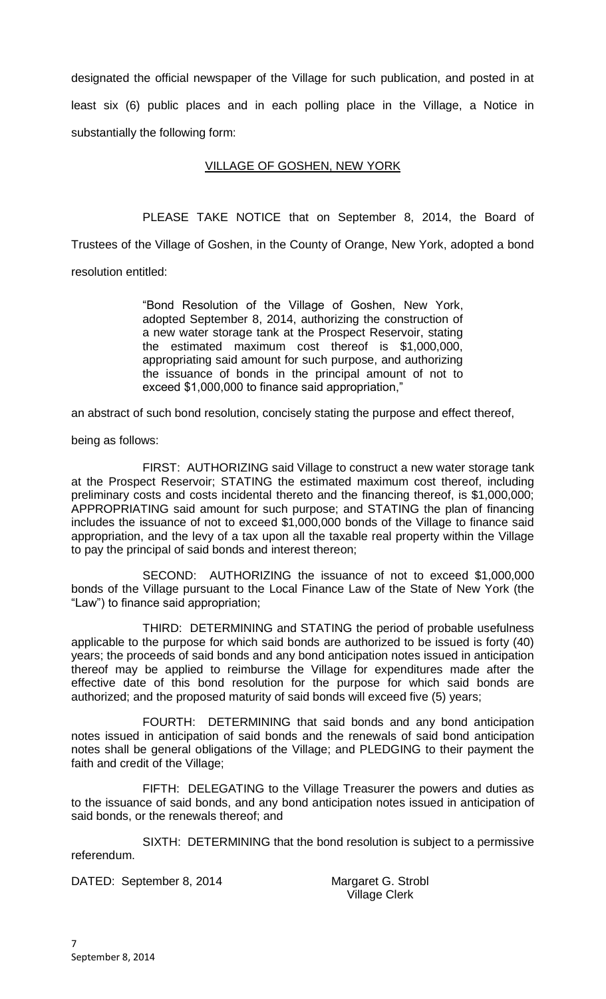designated the official newspaper of the Village for such publication, and posted in at least six (6) public places and in each polling place in the Village, a Notice in substantially the following form:

## VILLAGE OF GOSHEN, NEW YORK

PLEASE TAKE NOTICE that on September 8, 2014, the Board of Trustees of the Village of Goshen, in the County of Orange, New York, adopted a bond resolution entitled:

> "Bond Resolution of the Village of Goshen, New York, adopted September 8, 2014, authorizing the construction of a new water storage tank at the Prospect Reservoir, stating the estimated maximum cost thereof is \$1,000,000, appropriating said amount for such purpose, and authorizing the issuance of bonds in the principal amount of not to exceed \$1,000,000 to finance said appropriation,"

an abstract of such bond resolution, concisely stating the purpose and effect thereof,

being as follows:

FIRST: AUTHORIZING said Village to construct a new water storage tank at the Prospect Reservoir; STATING the estimated maximum cost thereof, including preliminary costs and costs incidental thereto and the financing thereof, is \$1,000,000; APPROPRIATING said amount for such purpose; and STATING the plan of financing includes the issuance of not to exceed \$1,000,000 bonds of the Village to finance said appropriation, and the levy of a tax upon all the taxable real property within the Village to pay the principal of said bonds and interest thereon;

SECOND: AUTHORIZING the issuance of not to exceed \$1,000,000 bonds of the Village pursuant to the Local Finance Law of the State of New York (the "Law") to finance said appropriation;

THIRD: DETERMINING and STATING the period of probable usefulness applicable to the purpose for which said bonds are authorized to be issued is forty (40) years; the proceeds of said bonds and any bond anticipation notes issued in anticipation thereof may be applied to reimburse the Village for expenditures made after the effective date of this bond resolution for the purpose for which said bonds are authorized; and the proposed maturity of said bonds will exceed five (5) years;

FOURTH: DETERMINING that said bonds and any bond anticipation notes issued in anticipation of said bonds and the renewals of said bond anticipation notes shall be general obligations of the Village; and PLEDGING to their payment the faith and credit of the Village;

FIFTH: DELEGATING to the Village Treasurer the powers and duties as to the issuance of said bonds, and any bond anticipation notes issued in anticipation of said bonds, or the renewals thereof; and

SIXTH: DETERMINING that the bond resolution is subject to a permissive referendum.

DATED: September 8, 2014 Margaret G. Strobl

Village Clerk